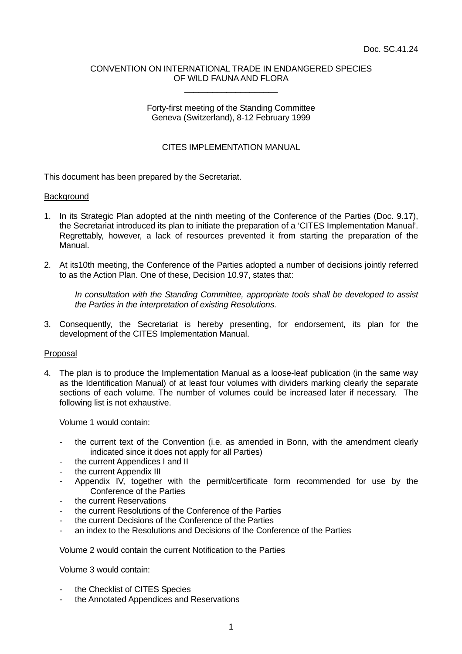## CONVENTION ON INTERNATIONAL TRADE IN ENDANGERED SPECIES OF WILD FAUNA AND FLORA \_\_\_\_\_\_\_\_\_\_\_\_\_\_\_\_\_\_\_\_

# Forty-first meeting of the Standing Committee Geneva (Switzerland), 8-12 February 1999

# CITES IMPLEMENTATION MANUAL

This document has been prepared by the Secretariat.

#### **Background**

- 1. In its Strategic Plan adopted at the ninth meeting of the Conference of the Parties (Doc. 9.17), the Secretariat introduced its plan to initiate the preparation of a 'CITES Implementation Manual'. Regrettably, however, a lack of resources prevented it from starting the preparation of the Manual.
- 2. At its10th meeting, the Conference of the Parties adopted a number of decisions jointly referred to as the Action Plan. One of these, Decision 10.97, states that:

 *In consultation with the Standing Committee, appropriate tools shall be developed to assist the Parties in the interpretation of existing Resolutions.* 

3. Consequently, the Secretariat is hereby presenting, for endorsement, its plan for the development of the CITES Implementation Manual.

## Proposal

4. The plan is to produce the Implementation Manual as a loose-leaf publication (in the same way as the Identification Manual) of at least four volumes with dividers marking clearly the separate sections of each volume. The number of volumes could be increased later if necessary. The following list is not exhaustive.

Volume 1 would contain:

- the current text of the Convention (i.e. as amended in Bonn, with the amendment clearly indicated since it does not apply for all Parties)
- the current Appendices I and II
- the current Appendix III
- Appendix IV, together with the permit/certificate form recommended for use by the Conference of the Parties
- the current Reservations
- the current Resolutions of the Conference of the Parties
- the current Decisions of the Conference of the Parties
- an index to the Resolutions and Decisions of the Conference of the Parties

Volume 2 would contain the current Notification to the Parties

Volume 3 would contain:

- the Checklist of CITES Species
- the Annotated Appendices and Reservations